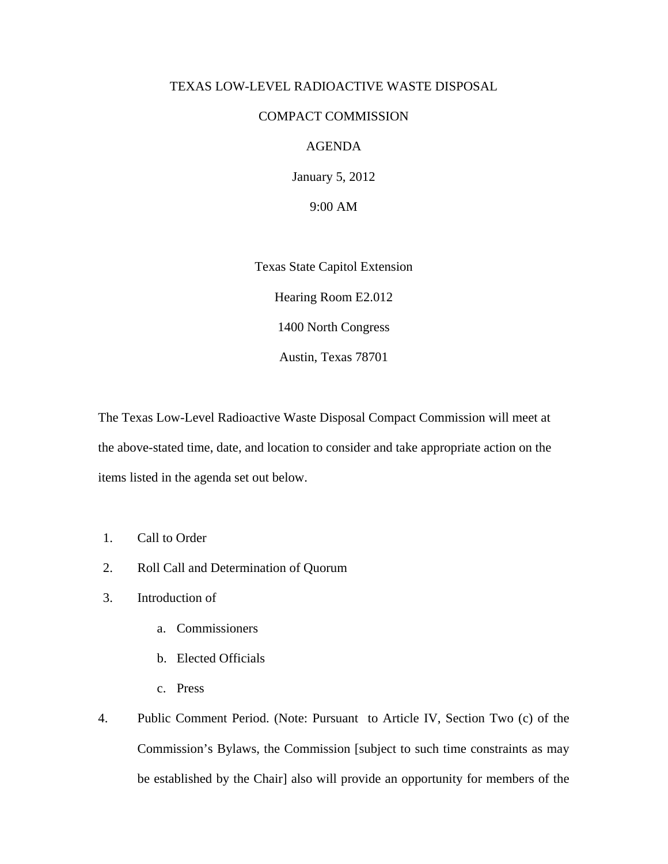## TEXAS LOW-LEVEL RADIOACTIVE WASTE DISPOSAL

## COMPACT COMMISSION

## AGENDA

January 5, 2012

9:00 AM

Texas State Capitol Extension Hearing Room E2.012 1400 North Congress Austin, Texas 78701

The Texas Low-Level Radioactive Waste Disposal Compact Commission will meet at the above-stated time, date, and location to consider and take appropriate action on the items listed in the agenda set out below.

- 1. Call to Order
- 2. Roll Call and Determination of Quorum
- 3. Introduction of
	- a. Commissioners
	- b. Elected Officials
	- c. Press
- 4. Public Comment Period. (Note: Pursuant to Article IV, Section Two (c) of the Commission's Bylaws, the Commission [subject to such time constraints as may be established by the Chair] also will provide an opportunity for members of the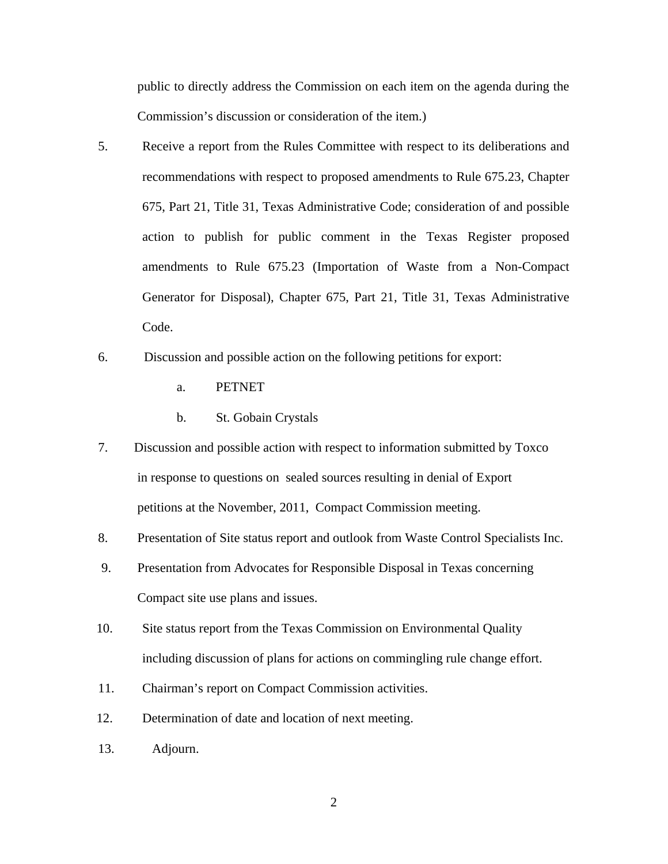public to directly address the Commission on each item on the agenda during the Commission's discussion or consideration of the item.)

- 5. Receive a report from the Rules Committee with respect to its deliberations and recommendations with respect to proposed amendments to Rule 675.23, Chapter 675, Part 21, Title 31, Texas Administrative Code; consideration of and possible action to publish for public comment in the Texas Register proposed amendments to Rule 675.23 (Importation of Waste from a Non-Compact Generator for Disposal), Chapter 675, Part 21, Title 31, Texas Administrative Code.
- 6. Discussion and possible action on the following petitions for export:
	- a. PETNET
	- b. St. Gobain Crystals
- 7. Discussion and possible action with respect to information submitted by Toxco in response to questions on sealed sources resulting in denial of Export petitions at the November, 2011, Compact Commission meeting.
- 8. Presentation of Site status report and outlook from Waste Control Specialists Inc.
- 9. Presentation from Advocates for Responsible Disposal in Texas concerning Compact site use plans and issues.
- 10. Site status report from the Texas Commission on Environmental Quality including discussion of plans for actions on commingling rule change effort.
- 11. Chairman's report on Compact Commission activities.
- 12. Determination of date and location of next meeting.
- 13. Adjourn.

2